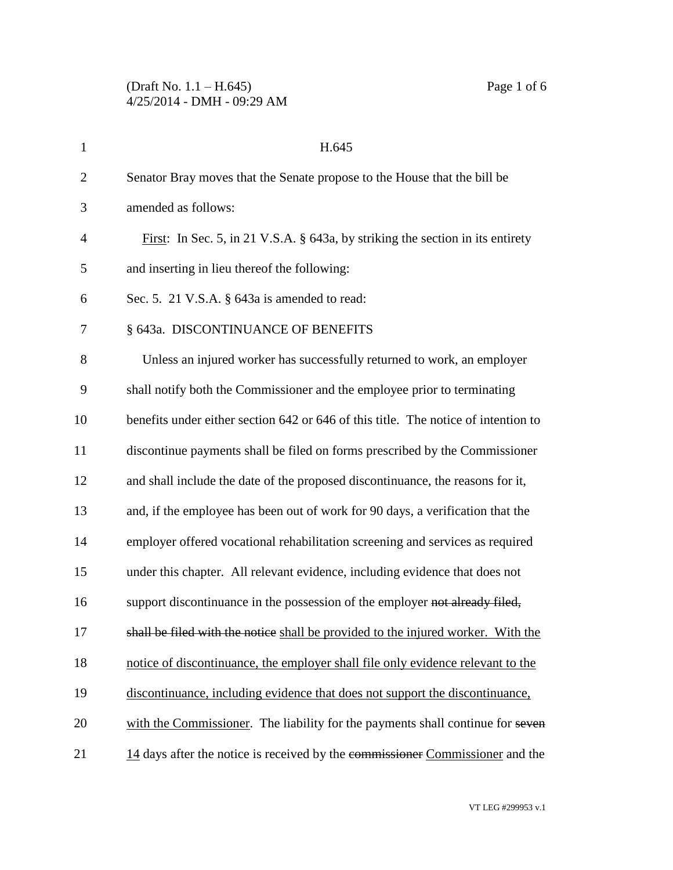| $\mathbf{1}$   | H.645                                                                              |
|----------------|------------------------------------------------------------------------------------|
| $\overline{2}$ | Senator Bray moves that the Senate propose to the House that the bill be           |
| 3              | amended as follows:                                                                |
| $\overline{4}$ | First: In Sec. 5, in 21 V.S.A. $\S$ 643a, by striking the section in its entirety  |
| 5              | and inserting in lieu thereof the following:                                       |
| 6              | Sec. 5. 21 V.S.A. § 643a is amended to read:                                       |
| 7              | § 643a. DISCONTINUANCE OF BENEFITS                                                 |
| 8              | Unless an injured worker has successfully returned to work, an employer            |
| 9              | shall notify both the Commissioner and the employee prior to terminating           |
| 10             | benefits under either section 642 or 646 of this title. The notice of intention to |
| 11             | discontinue payments shall be filed on forms prescribed by the Commissioner        |
| 12             | and shall include the date of the proposed discontinuance, the reasons for it,     |
| 13             | and, if the employee has been out of work for 90 days, a verification that the     |
| 14             | employer offered vocational rehabilitation screening and services as required      |
| 15             | under this chapter. All relevant evidence, including evidence that does not        |
| 16             | support discontinuance in the possession of the employer not already filed,        |
| 17             | shall be filed with the notice shall be provided to the injured worker. With the   |
| 18             | notice of discontinuance, the employer shall file only evidence relevant to the    |
| 19             | discontinuance, including evidence that does not support the discontinuance,       |
| 20             | with the Commissioner. The liability for the payments shall continue for seven     |
| 21             | 14 days after the notice is received by the commissioner Commissioner and the      |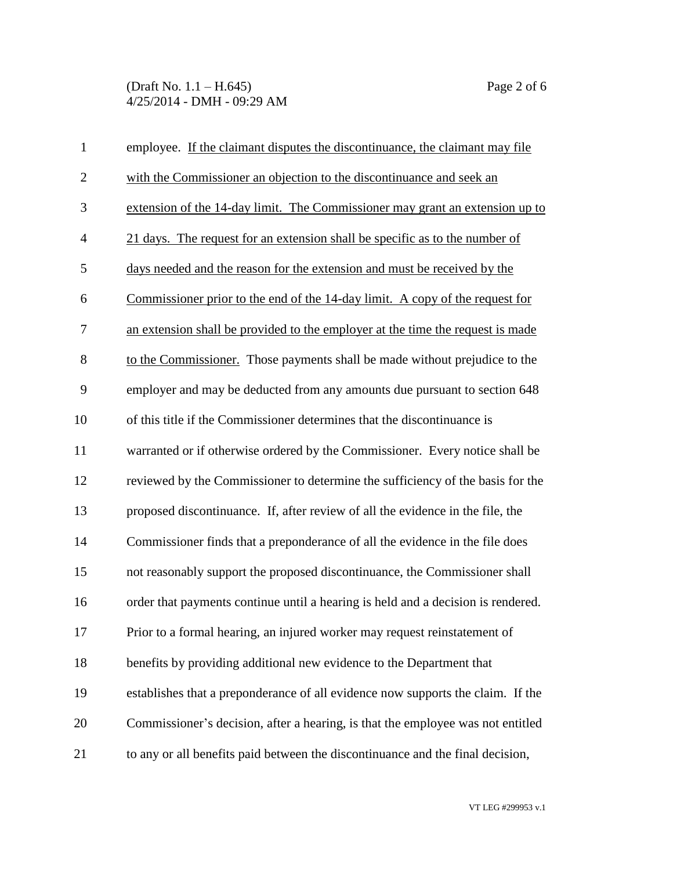(Draft No. 1.1 – H.645) Page 2 of 6 4/25/2014 - DMH - 09:29 AM

| $\mathbf{1}$   | employee. If the claimant disputes the discontinuance, the claimant may file     |
|----------------|----------------------------------------------------------------------------------|
| $\overline{2}$ | with the Commissioner an objection to the discontinuance and seek an             |
| 3              | extension of the 14-day limit. The Commissioner may grant an extension up to     |
| $\overline{4}$ | 21 days. The request for an extension shall be specific as to the number of      |
| 5              | days needed and the reason for the extension and must be received by the         |
| 6              | Commissioner prior to the end of the 14-day limit. A copy of the request for     |
| $\tau$         | an extension shall be provided to the employer at the time the request is made   |
| 8              | to the Commissioner. Those payments shall be made without prejudice to the       |
| 9              | employer and may be deducted from any amounts due pursuant to section 648        |
| 10             | of this title if the Commissioner determines that the discontinuance is          |
| 11             | warranted or if otherwise ordered by the Commissioner. Every notice shall be     |
| 12             | reviewed by the Commissioner to determine the sufficiency of the basis for the   |
| 13             | proposed discontinuance. If, after review of all the evidence in the file, the   |
| 14             | Commissioner finds that a preponderance of all the evidence in the file does     |
| 15             | not reasonably support the proposed discontinuance, the Commissioner shall       |
| 16             | order that payments continue until a hearing is held and a decision is rendered. |
| 17             | Prior to a formal hearing, an injured worker may request reinstatement of        |
| 18             | benefits by providing additional new evidence to the Department that             |
| 19             | establishes that a preponderance of all evidence now supports the claim. If the  |
| 20             | Commissioner's decision, after a hearing, is that the employee was not entitled  |
| 21             | to any or all benefits paid between the discontinuance and the final decision,   |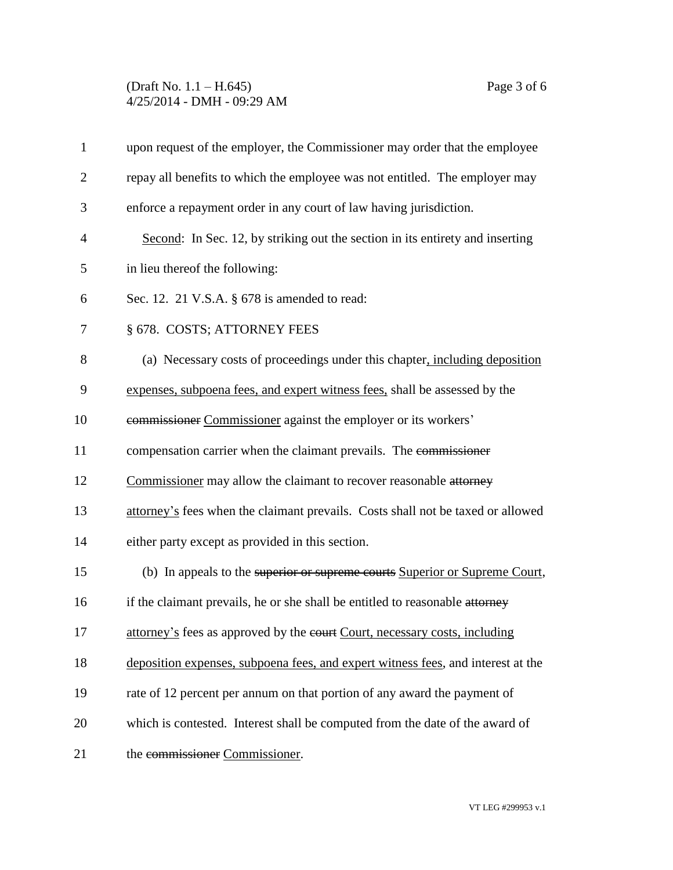## (Draft No. 1.1 – H.645) Page 3 of 6 4/25/2014 - DMH - 09:29 AM

| $\mathbf{1}$   | upon request of the employer, the Commissioner may order that the employee       |
|----------------|----------------------------------------------------------------------------------|
| $\overline{2}$ | repay all benefits to which the employee was not entitled. The employer may      |
| 3              | enforce a repayment order in any court of law having jurisdiction.               |
| 4              | Second: In Sec. 12, by striking out the section in its entirety and inserting    |
| 5              | in lieu thereof the following:                                                   |
| 6              | Sec. 12. 21 V.S.A. $\S$ 678 is amended to read:                                  |
| 7              | § 678. COSTS; ATTORNEY FEES                                                      |
| 8              | (a) Necessary costs of proceedings under this chapter, including deposition      |
| 9              | expenses, subpoena fees, and expert witness fees, shall be assessed by the       |
| 10             | commissioner Commissioner against the employer or its workers'                   |
| 11             | compensation carrier when the claimant prevails. The commissioner                |
| 12             | Commissioner may allow the claimant to recover reasonable attorney               |
| 13             | attorney's fees when the claimant prevails. Costs shall not be taxed or allowed  |
| 14             | either party except as provided in this section.                                 |
| 15             | (b) In appeals to the superior or supreme courts Superior or Supreme Court,      |
| 16             | if the claimant prevails, he or she shall be entitled to reasonable attorney     |
| 17             | attorney's fees as approved by the court, necessary costs, including             |
| 18             | deposition expenses, subpoena fees, and expert witness fees, and interest at the |
| 19             | rate of 12 percent per annum on that portion of any award the payment of         |
| 20             | which is contested. Interest shall be computed from the date of the award of     |
| 21             | the commissioner Commissioner.                                                   |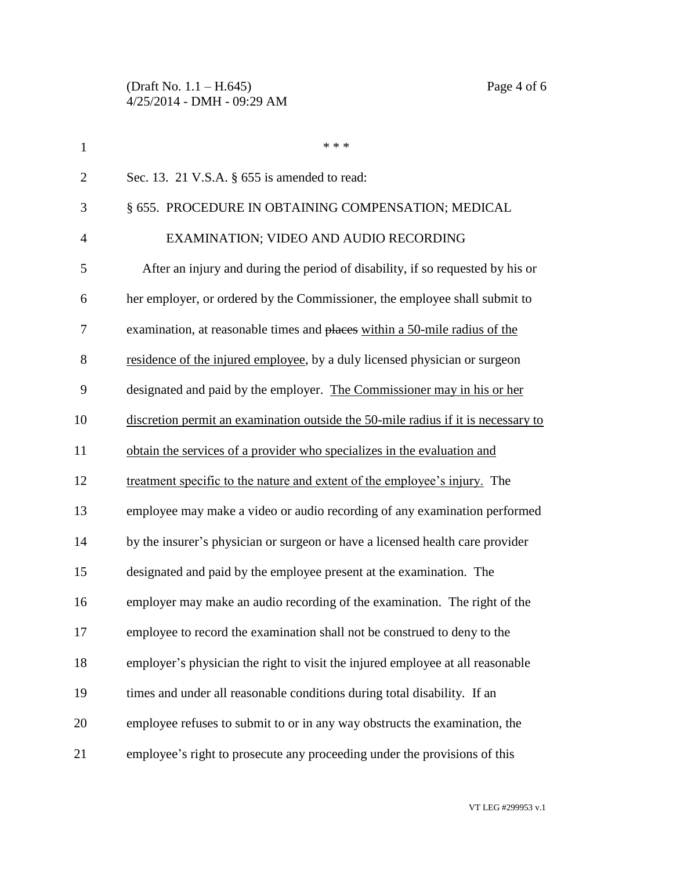| $\mathbf{1}$   | * * *                                                                             |
|----------------|-----------------------------------------------------------------------------------|
| $\overline{2}$ | Sec. 13. 21 V.S.A. § 655 is amended to read:                                      |
| 3              | § 655. PROCEDURE IN OBTAINING COMPENSATION; MEDICAL                               |
| $\overline{4}$ | EXAMINATION; VIDEO AND AUDIO RECORDING                                            |
| 5              | After an injury and during the period of disability, if so requested by his or    |
| 6              | her employer, or ordered by the Commissioner, the employee shall submit to        |
| 7              | examination, at reasonable times and places within a 50-mile radius of the        |
| 8              | residence of the injured employee, by a duly licensed physician or surgeon        |
| 9              | designated and paid by the employer. The Commissioner may in his or her           |
| 10             | discretion permit an examination outside the 50-mile radius if it is necessary to |
| 11             | obtain the services of a provider who specializes in the evaluation and           |
| 12             | treatment specific to the nature and extent of the employee's injury. The         |
| 13             | employee may make a video or audio recording of any examination performed         |
| 14             | by the insurer's physician or surgeon or have a licensed health care provider     |
| 15             | designated and paid by the employee present at the examination. The               |
| 16             | employer may make an audio recording of the examination. The right of the         |
| 17             | employee to record the examination shall not be construed to deny to the          |
| 18             | employer's physician the right to visit the injured employee at all reasonable    |
| 19             | times and under all reasonable conditions during total disability. If an          |
| 20             | employee refuses to submit to or in any way obstructs the examination, the        |
| 21             | employee's right to prosecute any proceeding under the provisions of this         |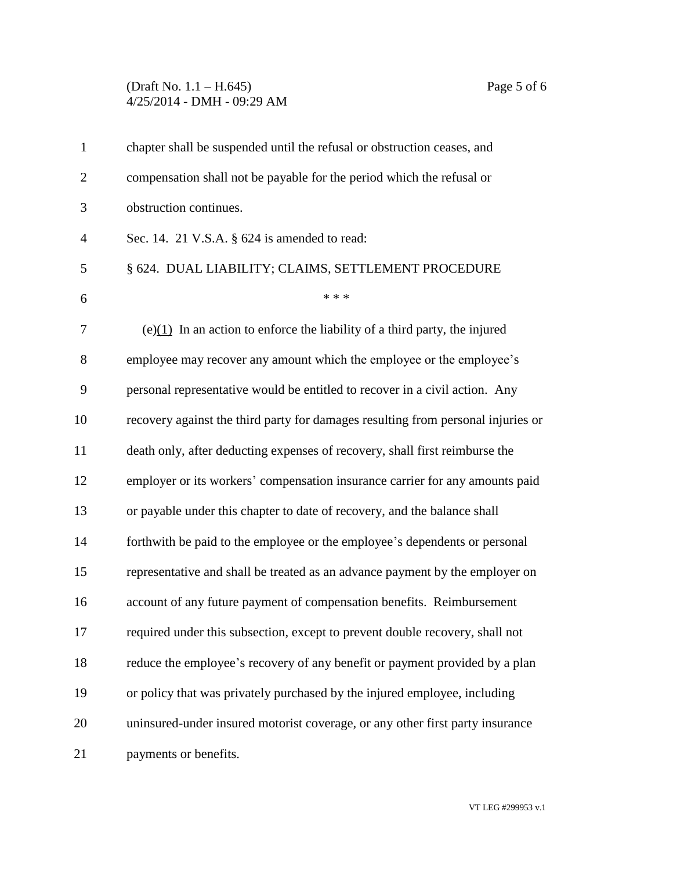## (Draft No. 1.1 – H.645) Page 5 of 6 4/25/2014 - DMH - 09:29 AM

| $\mathbf{1}$   | chapter shall be suspended until the refusal or obstruction ceases, and          |
|----------------|----------------------------------------------------------------------------------|
| $\overline{2}$ | compensation shall not be payable for the period which the refusal or            |
| 3              | obstruction continues.                                                           |
| $\overline{4}$ | Sec. 14. 21 V.S.A. $\S$ 624 is amended to read:                                  |
| 5              | § 624. DUAL LIABILITY; CLAIMS, SETTLEMENT PROCEDURE                              |
| 6              | * * *                                                                            |
| 7              | $(e)(1)$ In an action to enforce the liability of a third party, the injured     |
| 8              | employee may recover any amount which the employee or the employee's             |
| 9              | personal representative would be entitled to recover in a civil action. Any      |
| 10             | recovery against the third party for damages resulting from personal injuries or |
| 11             | death only, after deducting expenses of recovery, shall first reimburse the      |
| 12             | employer or its workers' compensation insurance carrier for any amounts paid     |
| 13             | or payable under this chapter to date of recovery, and the balance shall         |
| 14             | forthwith be paid to the employee or the employee's dependents or personal       |
| 15             | representative and shall be treated as an advance payment by the employer on     |
| 16             | account of any future payment of compensation benefits. Reimbursement            |
| 17             | required under this subsection, except to prevent double recovery, shall not     |
| 18             | reduce the employee's recovery of any benefit or payment provided by a plan      |
| 19             | or policy that was privately purchased by the injured employee, including        |
| 20             | uninsured-under insured motorist coverage, or any other first party insurance    |
| 21             | payments or benefits.                                                            |